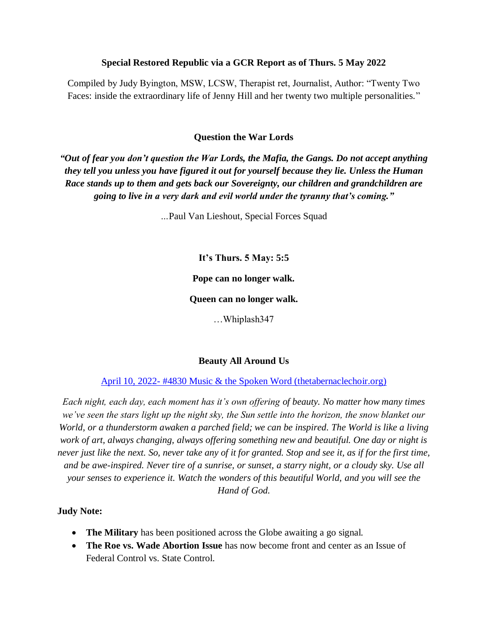#### **Special Restored Republic via a GCR Report as of Thurs. 5 May 2022**

Compiled by Judy Byington, MSW, LCSW, Therapist ret, Journalist, Author: "Twenty Two Faces: inside the extraordinary life of Jenny Hill and her twenty two multiple personalities."

#### **Question the War Lords**

*"Out of fear you don't question the War Lords, the Mafia, the Gangs. Do not accept anything they tell you unless you have figured it out for yourself because they lie. Unless the Human Race stands up to them and gets back our Sovereignty, our children and grandchildren are going to live in a very dark and evil world under the tyranny that's coming."* 

*…*Paul Van Lieshout, Special Forces Squad

**It's Thurs. 5 May: 5:5**

**Pope can no longer walk.**

**Queen can no longer walk.**

…Whiplash347

#### **Beauty All Around Us**

April 10, 2022- [#4830 Music & the Spoken Word \(thetabernaclechoir.org\)](https://www.thetabernaclechoir.org/videos/april-10-2022-4830-music-and-the-spoken-word.html)

*Each night, each day, each moment has it's own offering of beauty. No matter how many times we've seen the stars light up the night sky, the Sun settle into the horizon, the snow blanket our World, or a thunderstorm awaken a parched field; we can be inspired. The World is like a living work of art, always changing, always offering something new and beautiful. One day or night is never just like the next. So, never take any of it for granted. Stop and see it, as if for the first time, and be awe-inspired. Never tire of a sunrise, or sunset, a starry night, or a cloudy sky. Use all your senses to experience it. Watch the wonders of this beautiful World, and you will see the Hand of God.*

#### **Judy Note:**

- **The Military** has been positioned across the Globe awaiting a go signal.
- **The Roe vs. Wade Abortion Issue** has now become front and center as an Issue of Federal Control vs. State Control.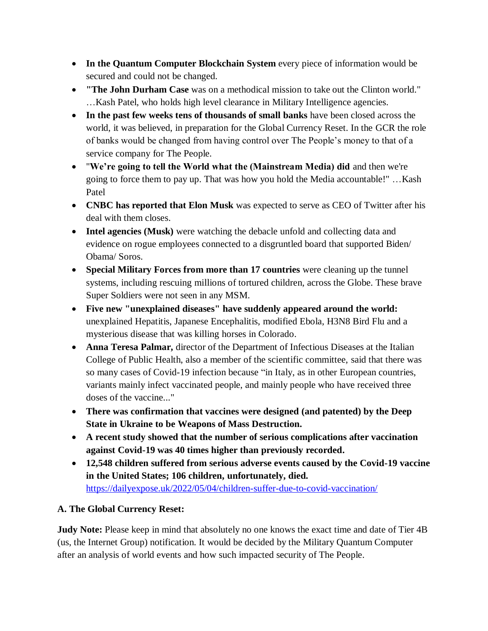- **In the Quantum Computer Blockchain System** every piece of information would be secured and could not be changed.
- **"The John Durham Case** was on a methodical mission to take out the Clinton world." …Kash Patel, who holds high level clearance in Military Intelligence agencies.
- **In the past few weeks tens of thousands of small banks** have been closed across the world, it was believed, in preparation for the Global Currency Reset. In the GCR the role of banks would be changed from having control over The People's money to that of a service company for The People.
- "**We're going to tell the World what the (Mainstream Media) did** and then we're going to force them to pay up. That was how you hold the Media accountable!" …Kash Patel
- **CNBC has reported that Elon Musk** was expected to serve as CEO of Twitter after his deal with them closes.
- **Intel agencies (Musk)** were watching the debacle unfold and collecting data and evidence on rogue employees connected to a disgruntled board that supported Biden/ Obama/ Soros.
- **Special Military Forces from more than 17 countries** were cleaning up the tunnel systems, including rescuing millions of tortured children, across the Globe. These brave Super Soldiers were not seen in any MSM.
- **Five new "unexplained diseases" have suddenly appeared around the world:** unexplained Hepatitis, Japanese Encephalitis, modified Ebola, H3N8 Bird Flu and a mysterious disease that was killing horses in Colorado.
- **Anna Teresa Palmar,** director of the Department of Infectious Diseases at the Italian College of Public Health, also a member of the scientific committee, said that there was so many cases of Covid-19 infection because "in Italy, as in other European countries, variants mainly infect vaccinated people, and mainly people who have received three doses of the vaccine..."
- **There was confirmation that vaccines were designed (and patented) by the Deep State in Ukraine to be Weapons of Mass Destruction.**
- **A recent study showed that the number of serious complications after vaccination against Covid-19 was 40 times higher than previously recorded.**
- **12,548 children suffered from serious adverse events caused by the Covid-19 vaccine in the United States; 106 children, unfortunately, died.** <https://dailyexpose.uk/2022/05/04/children-suffer-due-to-covid-vaccination/>

## **A. The Global Currency Reset:**

**Judy Note:** Please keep in mind that absolutely no one knows the exact time and date of Tier 4B (us, the Internet Group) notification. It would be decided by the Military Quantum Computer after an analysis of world events and how such impacted security of The People.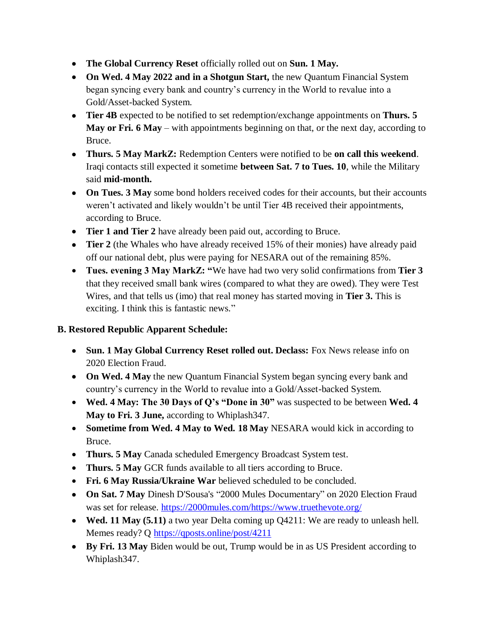- **The Global Currency Reset** officially rolled out on **Sun. 1 May.**
- **On Wed. 4 May 2022 and in a Shotgun Start,** the new Quantum Financial System began syncing every bank and country's currency in the World to revalue into a Gold/Asset-backed System.
- **Tier 4B** expected to be notified to set redemption/exchange appointments on **Thurs. 5 May or Fri. 6 May** – with appointments beginning on that, or the next day, according to Bruce.
- **Thurs. 5 May MarkZ:** Redemption Centers were notified to be **on call this weekend**. Iraqi contacts still expected it sometime **between Sat. 7 to Tues. 10**, while the Military said **mid-month.**
- **On Tues. 3 May** some bond holders received codes for their accounts, but their accounts weren't activated and likely wouldn't be until Tier 4B received their appointments, according to Bruce.
- **Tier 1 and Tier 2** have already been paid out, according to Bruce.
- **Tier 2** (the Whales who have already received 15% of their monies) have already paid off our national debt, plus were paying for NESARA out of the remaining 85%.
- **Tues. evening 3 May MarkZ: "**We have had two very solid confirmations from **Tier 3** that they received small bank wires (compared to what they are owed). They were Test Wires, and that tells us (imo) that real money has started moving in **Tier 3.** This is exciting. I think this is fantastic news."

## **B. Restored Republic Apparent Schedule:**

- **Sun. 1 May Global Currency Reset rolled out. Declass:** Fox News release info on 2020 Election Fraud.
- **On Wed. 4 May** the new Quantum Financial System began syncing every bank and country's currency in the World to revalue into a Gold/Asset-backed System.
- **Wed. 4 May: The 30 Days of Q's "Done in 30"** was suspected to be between **Wed. 4 May to Fri. 3 June,** according to Whiplash347.
- **Sometime from Wed. 4 May to Wed. 18 May** NESARA would kick in according to Bruce.
- **Thurs. 5 May** Canada scheduled Emergency Broadcast System test.
- **Thurs. 5 May** GCR funds available to all tiers according to Bruce.
- **Fri. 6 May Russia/Ukraine War** believed scheduled to be concluded.
- **On Sat. 7 May** Dinesh D'Sousa's "2000 Mules Documentary" on 2020 Election Fraud was set for release. [https://2000mules.com/https://www.truethevote.org/](https://2000mules.com/https:/www.truethevote.org/)
- **Wed. 11 May (5.11)** a two year Delta coming up Q4211: We are ready to unleash hell. Memes ready? Q <https://qposts.online/post/4211>
- **By Fri. 13 May** Biden would be out, Trump would be in as US President according to Whiplash347.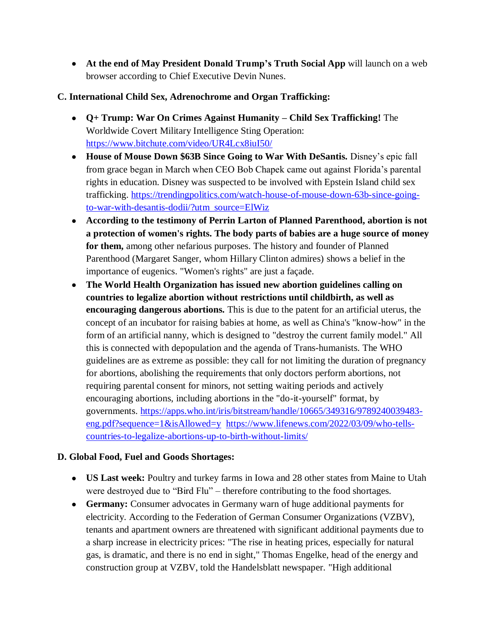**At the end of May President Donald Trump's Truth Social App** will launch on a web browser according to Chief Executive Devin Nunes.

### **C. International Child Sex, Adrenochrome and Organ Trafficking:**

- **Q+ Trump: War On Crimes Against Humanity – Child Sex Trafficking!** The Worldwide Covert Military Intelligence Sting Operation: <https://www.bitchute.com/video/UR4Lcx8iuI50/>
- **House of Mouse Down \$63B Since Going to War With DeSantis.** Disney's epic fall from grace began in March when CEO Bob Chapek came out against Florida's parental rights in education. Disney was suspected to be involved with Epstein Island child sex trafficking. [https://trendingpolitics.com/watch-house-of-mouse-down-63b-since-going](https://trendingpolitics.com/watch-house-of-mouse-down-63b-since-going-to-war-with-desantis-dodii/?utm_source=ElWiz)[to-war-with-desantis-dodii/?utm\\_source=ElWiz](https://trendingpolitics.com/watch-house-of-mouse-down-63b-since-going-to-war-with-desantis-dodii/?utm_source=ElWiz)
- **According to the testimony of Perrin Larton of Planned Parenthood, abortion is not a protection of women's rights. The body parts of babies are a huge source of money for them,** among other nefarious purposes. The history and founder of Planned Parenthood (Margaret Sanger, whom Hillary Clinton admires) shows a belief in the importance of eugenics. "Women's rights" are just a façade.
- **The World Health Organization has issued new abortion guidelines calling on countries to legalize abortion without restrictions until childbirth, as well as encouraging dangerous abortions.** This is due to the patent for an artificial uterus, the concept of an incubator for raising babies at home, as well as China's "know-how" in the form of an artificial nanny, which is designed to "destroy the current family model." All this is connected with depopulation and the agenda of Trans-humanists. The WHO guidelines are as extreme as possible: they call for not limiting the duration of pregnancy for abortions, abolishing the requirements that only doctors perform abortions, not requiring parental consent for minors, not setting waiting periods and actively encouraging abortions, including abortions in the "do-it-yourself" format, by governments. [https://apps.who.int/iris/bitstream/handle/10665/349316/9789240039483](https://apps.who.int/iris/bitstream/handle/10665/349316/9789240039483-eng.pdf?sequence=1&isAllowed=y) [eng.pdf?sequence=1&isAllowed=y](https://apps.who.int/iris/bitstream/handle/10665/349316/9789240039483-eng.pdf?sequence=1&isAllowed=y) [https://www.lifenews.com/2022/03/09/who-tells](https://www.lifenews.com/2022/03/09/who-tells-countries-to-legalize-abortions-up-to-birth-without-limits/)[countries-to-legalize-abortions-up-to-birth-without-limits/](https://www.lifenews.com/2022/03/09/who-tells-countries-to-legalize-abortions-up-to-birth-without-limits/)

## **D. Global Food, Fuel and Goods Shortages:**

- **US Last week:** Poultry and turkey farms in Iowa and 28 other states from Maine to Utah were destroyed due to "Bird Flu" – therefore contributing to the food shortages.
- **Germany:** Consumer advocates in Germany warn of huge additional payments for electricity. According to the Federation of German Consumer Organizations (VZBV), tenants and apartment owners are threatened with significant additional payments due to a sharp increase in electricity prices: "The rise in heating prices, especially for natural gas, is dramatic, and there is no end in sight," Thomas Engelke, head of the energy and construction group at VZBV, told the Handelsblatt newspaper. "High additional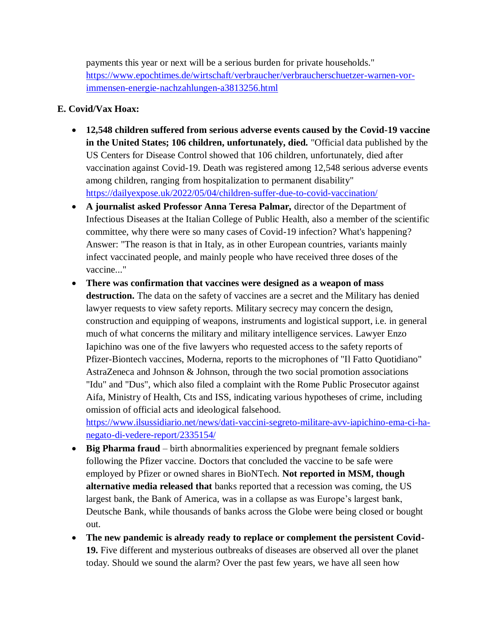payments this year or next will be a serious burden for private households." [https://www.epochtimes.de/wirtschaft/verbraucher/verbraucherschuetzer-warnen-vor](https://www.epochtimes.de/wirtschaft/verbraucher/verbraucherschuetzer-warnen-vor-immensen-energie-nachzahlungen-a3813256.html)[immensen-energie-nachzahlungen-a3813256.html](https://www.epochtimes.de/wirtschaft/verbraucher/verbraucherschuetzer-warnen-vor-immensen-energie-nachzahlungen-a3813256.html)

### **E. Covid/Vax Hoax:**

- **12,548 children suffered from serious adverse events caused by the Covid-19 vaccine in the United States; 106 children, unfortunately, died.** "Official data published by the US Centers for Disease Control showed that 106 children, unfortunately, died after vaccination against Covid-19. Death was registered among 12,548 serious adverse events among children, ranging from hospitalization to permanent disability" <https://dailyexpose.uk/2022/05/04/children-suffer-due-to-covid-vaccination/>
- **A journalist asked Professor Anna Teresa Palmar,** director of the Department of Infectious Diseases at the Italian College of Public Health, also a member of the scientific committee, why there were so many cases of Covid-19 infection? What's happening? Answer: "The reason is that in Italy, as in other European countries, variants mainly infect vaccinated people, and mainly people who have received three doses of the vaccine..."
- **There was confirmation that vaccines were designed as a weapon of mass destruction.** The data on the safety of vaccines are a secret and the Military has denied lawyer requests to view safety reports. Military secrecy may concern the design, construction and equipping of weapons, instruments and logistical support, i.e. in general much of what concerns the military and military intelligence services. Lawyer Enzo Iapichino was one of the five lawyers who requested access to the safety reports of Pfizer-Biontech vaccines, Moderna, reports to the microphones of "Il Fatto Quotidiano" AstraZeneca and Johnson & Johnson, through the two social promotion associations "Idu" and "Dus", which also filed a complaint with the Rome Public Prosecutor against Aifa, Ministry of Health, Cts and ISS, indicating various hypotheses of crime, including omission of official acts and ideological falsehood. [https://www.ilsussidiario.net/news/dati-vaccini-segreto-militare-avv-iapichino-ema-ci-ha-](https://www.ilsussidiario.net/news/dati-vaccini-segreto-militare-avv-iapichino-ema-ci-ha-negato-di-vedere-report/2335154/)

[negato-di-vedere-report/2335154/](https://www.ilsussidiario.net/news/dati-vaccini-segreto-militare-avv-iapichino-ema-ci-ha-negato-di-vedere-report/2335154/)

- **Big Pharma fraud** birth abnormalities experienced by pregnant female soldiers following the Pfizer vaccine. Doctors that concluded the vaccine to be safe were employed by Pfizer or owned shares in BioNTech. **Not reported in MSM, though alternative media released that** banks reported that a recession was coming, the US largest bank, the Bank of America, was in a collapse as was Europe's largest bank, Deutsche Bank, while thousands of banks across the Globe were being closed or bought out.
- **The new pandemic is already ready to replace or complement the persistent Covid-19.** Five different and mysterious outbreaks of diseases are observed all over the planet today. Should we sound the alarm? Over the past few years, we have all seen how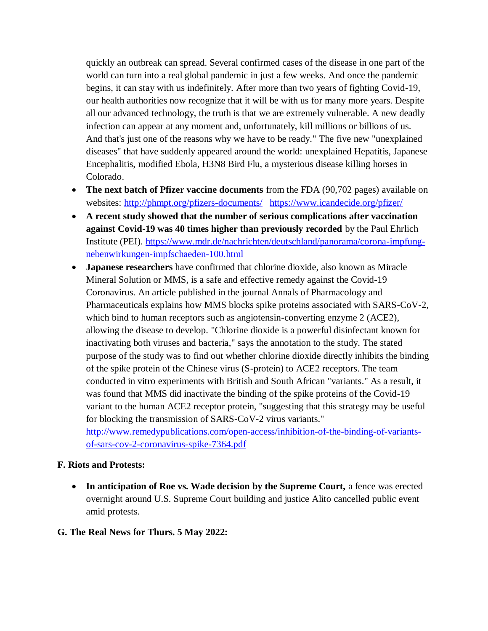quickly an outbreak can spread. Several confirmed cases of the disease in one part of the world can turn into a real global pandemic in just a few weeks. And once the pandemic begins, it can stay with us indefinitely. After more than two years of fighting Covid-19, our health authorities now recognize that it will be with us for many more years. Despite all our advanced technology, the truth is that we are extremely vulnerable. A new deadly infection can appear at any moment and, unfortunately, kill millions or billions of us. And that's just one of the reasons why we have to be ready." The five new "unexplained diseases" that have suddenly appeared around the world: unexplained Hepatitis, Japanese Encephalitis, modified Ebola, H3N8 Bird Flu, a mysterious disease killing horses in Colorado.

- **The next batch of Pfizer vaccine documents** from the FDA (90,702 pages) available on websites: <http://phmpt.org/pfizers-documents/><https://www.icandecide.org/pfizer/>
- **A recent study showed that the number of serious complications after vaccination against Covid-19 was 40 times higher than previously recorded** by the Paul Ehrlich Institute (PEI). [https://www.mdr.de/nachrichten/deutschland/panorama/corona-impfung](https://www.mdr.de/nachrichten/deutschland/panorama/corona-impfung-nebenwirkungen-impfschaeden-100.html)[nebenwirkungen-impfschaeden-100.html](https://www.mdr.de/nachrichten/deutschland/panorama/corona-impfung-nebenwirkungen-impfschaeden-100.html)
- **Japanese researchers** have confirmed that chlorine dioxide, also known as Miracle Mineral Solution or MMS, is a safe and effective remedy against the Covid-19 Coronavirus. An article published in the journal Annals of Pharmacology and Pharmaceuticals explains how MMS blocks spike proteins associated with SARS-CoV-2, which bind to human receptors such as angiotensin-converting enzyme 2 (ACE2), allowing the disease to develop. "Chlorine dioxide is a powerful disinfectant known for inactivating both viruses and bacteria," says the annotation to the study. The stated purpose of the study was to find out whether chlorine dioxide directly inhibits the binding of the spike protein of the Chinese virus (S-protein) to ACE2 receptors. The team conducted in vitro experiments with British and South African "variants." As a result, it was found that MMS did inactivate the binding of the spike proteins of the Covid-19 variant to the human ACE2 receptor protein, "suggesting that this strategy may be useful for blocking the transmission of SARS-CoV-2 virus variants." [http://www.remedypublications.com/open-access/inhibition-of-the-binding-of-variants](http://www.remedypublications.com/open-access/inhibition-of-the-binding-of-variants-of-sars-cov-2-coronavirus-spike-7364.pdf)[of-sars-cov-2-coronavirus-spike-7364.pdf](http://www.remedypublications.com/open-access/inhibition-of-the-binding-of-variants-of-sars-cov-2-coronavirus-spike-7364.pdf)

#### **F. Riots and Protests:**

- **In anticipation of Roe vs. Wade decision by the Supreme Court,** a fence was erected overnight around U.S. Supreme Court building and justice Alito cancelled public event amid protests.
- **G. The Real News for Thurs. 5 May 2022:**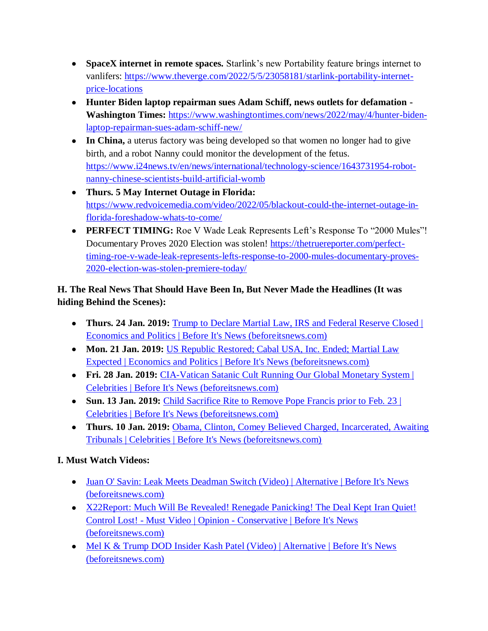- **SpaceX internet in remote spaces.** Starlink's new Portability feature brings internet to vanlifers: [https://www.theverge.com/2022/5/5/23058181/starlink-portability-internet](https://www.theverge.com/2022/5/5/23058181/starlink-portability-internet-price-locations)[price-locations](https://www.theverge.com/2022/5/5/23058181/starlink-portability-internet-price-locations)
- **Hunter Biden laptop repairman sues Adam Schiff, news outlets for defamation - Washington Times:** [https://www.washingtontimes.com/news/2022/may/4/hunter-biden](https://www.washingtontimes.com/news/2022/may/4/hunter-biden-laptop-repairman-sues-adam-schiff-new/)[laptop-repairman-sues-adam-schiff-new/](https://www.washingtontimes.com/news/2022/may/4/hunter-biden-laptop-repairman-sues-adam-schiff-new/)
- **In China,** a uterus factory was being developed so that women no longer had to give birth, and a robot Nanny could monitor the development of the fetus. [https://www.i24news.tv/en/news/international/technology-science/1643731954-robot](https://www.i24news.tv/en/news/international/technology-science/1643731954-robot-nanny-chinese-scientists-build-artificial-womb)[nanny-chinese-scientists-build-artificial-womb](https://www.i24news.tv/en/news/international/technology-science/1643731954-robot-nanny-chinese-scientists-build-artificial-womb)
- **Thurs. 5 May Internet Outage in Florida:** [https://www.redvoicemedia.com/video/2022/05/blackout-could-the-internet-outage-in](https://www.redvoicemedia.com/video/2022/05/blackout-could-the-internet-outage-in-florida-foreshadow-whats-to-come/)[florida-foreshadow-whats-to-come/](https://www.redvoicemedia.com/video/2022/05/blackout-could-the-internet-outage-in-florida-foreshadow-whats-to-come/)
- **PERFECT TIMING:** Roe V Wade Leak Represents Left's Response To "2000 Mules"! Documentary Proves 2020 Election was stolen! [https://thetruereporter.com/perfect](https://thetruereporter.com/perfect-timing-roe-v-wade-leak-represents-lefts-response-to-2000-mules-documentary-proves-2020-election-was-stolen-premiere-today/)[timing-roe-v-wade-leak-represents-lefts-response-to-2000-mules-documentary-proves-](https://thetruereporter.com/perfect-timing-roe-v-wade-leak-represents-lefts-response-to-2000-mules-documentary-proves-2020-election-was-stolen-premiere-today/)[2020-election-was-stolen-premiere-today/](https://thetruereporter.com/perfect-timing-roe-v-wade-leak-represents-lefts-response-to-2000-mules-documentary-proves-2020-election-was-stolen-premiere-today/)

## **H. The Real News That Should Have Been In, But Never Made the Headlines (It was hiding Behind the Scenes):**

- **Thurs. 24 Jan. 2019:** [Trump to Declare Martial Law, IRS and Federal Reserve Closed |](https://beforeitsnews.com/economics-and-politics/2019/01/trump-to-declare-martial-law-irs-and-federal-reserve-closed-2514953.html)  [Economics and Politics | Before It's News \(beforeitsnews.com\)](https://beforeitsnews.com/economics-and-politics/2019/01/trump-to-declare-martial-law-irs-and-federal-reserve-closed-2514953.html)
- **Mon. 21 Jan. 2019:** [US Republic Restored; Cabal USA, Inc. Ended; Martial Law](https://beforeitsnews.com/economics-and-politics/2019/01/us-republic-restored-cabal-usa-inc-ended-martial-law-expected-2514887.html)  [Expected | Economics and Politics | Before It's News \(beforeitsnews.com\)](https://beforeitsnews.com/economics-and-politics/2019/01/us-republic-restored-cabal-usa-inc-ended-martial-law-expected-2514887.html)
- **Fri. 28 Jan. 2019:** [CIA-Vatican Satanic Cult Running Our Global Monetary System |](https://beforeitsnews.com/celebrities/2019/01/cia-vatican-satanic-cult-running-our-global-monetary-system-2475577.html)  [Celebrities | Before It's News \(beforeitsnews.com\)](https://beforeitsnews.com/celebrities/2019/01/cia-vatican-satanic-cult-running-our-global-monetary-system-2475577.html)
- Sun. 13 Jan. 2019: Child Sacrifice Rite to Remove Pope Francis prior to Feb. 23 | [Celebrities | Before It's News \(beforeitsnews.com\)](https://beforeitsnews.com/celebrities/2019/01/child-sacrifice-rite-to-remove-pope-francis-prior-to-feb-23-2475571.html)
- **Thurs. 10 Jan. 2019:** Obama, Clinton, Comey Believed Charged, Incarcerated, Awaiting [Tribunals | Celebrities | Before It's News \(beforeitsnews.com\)](https://beforeitsnews.com/celebrities/2019/01/obama-clinton-comey-believed-charged-incarcerated-awaiting-tribunals-2475565.html)

# **I. Must Watch Videos:**

- Juan O' Savin: Leak Meets Deadman Switch (Video) | Alternative | Before It's News [\(beforeitsnews.com\)](https://beforeitsnews.com/alternative/2022/05/juan-o-savin-leak-meets-deadman-switch-video-3772312.html)
- X22Report: Much Will Be Revealed! Renegade Panicking! The Deal Kept Iran Quiet! Control Lost! - Must Video | Opinion - [Conservative | Before It's News](https://beforeitsnews.com/opinion-conservative/2022/05/x22report-much-will-be-revealed-renegade-panicking-the-deal-kept-iran-quiet-control-lost-must-video-3628005.html)  [\(beforeitsnews.com\)](https://beforeitsnews.com/opinion-conservative/2022/05/x22report-much-will-be-revealed-renegade-panicking-the-deal-kept-iran-quiet-control-lost-must-video-3628005.html)
- Mel K & Trump DOD Insider Kash Patel (Video) | Alternative | Before It's News [\(beforeitsnews.com\)](https://beforeitsnews.com/alternative/2022/05/mel-k-trump-dod-insider-kash-patel-video-3772321.html)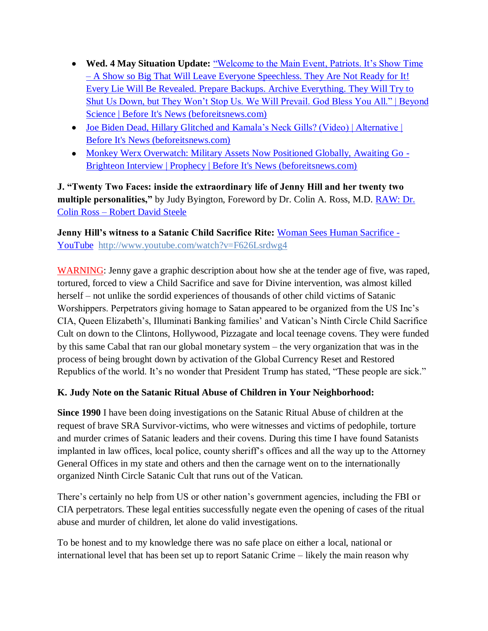- **Wed. 4 May Situation Update:** ["Welcome to the Main Event, Patriots. It's Show Time](https://beforeitsnews.com/beyond-science/2022/05/welcome-to-the-main-event-patriots-its-show-time-a-show-so-big-that-will-leave-everyone-speechless-they-are-not-ready-for-it-every-lie-will-be-revealed-prepare-backups-2454528.html)  – [A Show so Big That Will Leave Everyone Speechless. They Are Not Ready for It!](https://beforeitsnews.com/beyond-science/2022/05/welcome-to-the-main-event-patriots-its-show-time-a-show-so-big-that-will-leave-everyone-speechless-they-are-not-ready-for-it-every-lie-will-be-revealed-prepare-backups-2454528.html)  [Every Lie Will Be Revealed. Prepare Backups. Archive Everything. They Will Try to](https://beforeitsnews.com/beyond-science/2022/05/welcome-to-the-main-event-patriots-its-show-time-a-show-so-big-that-will-leave-everyone-speechless-they-are-not-ready-for-it-every-lie-will-be-revealed-prepare-backups-2454528.html)  [Shut Us Down, but They Won't Stop Us. We Will Prevail. God Bless You All." | Beyond](https://beforeitsnews.com/beyond-science/2022/05/welcome-to-the-main-event-patriots-its-show-time-a-show-so-big-that-will-leave-everyone-speechless-they-are-not-ready-for-it-every-lie-will-be-revealed-prepare-backups-2454528.html)  [Science | Before It's News \(beforeitsnews.com\)](https://beforeitsnews.com/beyond-science/2022/05/welcome-to-the-main-event-patriots-its-show-time-a-show-so-big-that-will-leave-everyone-speechless-they-are-not-ready-for-it-every-lie-will-be-revealed-prepare-backups-2454528.html)
- [Joe Biden Dead, Hillary Glitched and Kamala's Neck Gills? \(Video\) | Alternative |](https://beforeitsnews.com/alternative/2022/05/joe-biden-dead-hillary-glitched-and-kamalas-neck-gills-video-3772314.html)  [Before It's News \(beforeitsnews.com\)](https://beforeitsnews.com/alternative/2022/05/joe-biden-dead-hillary-glitched-and-kamalas-neck-gills-video-3772314.html)
- [Monkey Werx Overwatch: Military Assets Now Positioned Globally, Awaiting Go -](https://beforeitsnews.com/prophecy/2022/05/new-monkey-werx-overwatch-military-assets-now-positioned-globally-awaiting-go-brighteon-interview-2530264.html) [Brighteon Interview | Prophecy | Before It's News \(beforeitsnews.com\)](https://beforeitsnews.com/prophecy/2022/05/new-monkey-werx-overwatch-military-assets-now-positioned-globally-awaiting-go-brighteon-interview-2530264.html)

**J. "Twenty Two Faces: inside the extraordinary life of Jenny Hill and her twenty two multiple personalities,"** by Judy Byington, Foreword by Dr. Colin A. Ross, M.D. [RAW: Dr.](https://robertdavidsteele.com/dr-colin-ross/)  Colin Ross – [Robert David Steele](https://robertdavidsteele.com/dr-colin-ross/)

**Jenny Hill's witness to a Satanic Child Sacrifice Rite: [Woman Sees Human Sacrifice -](https://www.youtube.com/watch?v=F626Lsrdwg4)** [YouTube http://www.youtube.com/watch?v=F626Lsrdwg4](https://www.youtube.com/watch?v=F626Lsrdwg4)

WARNING: Jenny gave a graphic description about how she at the tender age of five, was raped, tortured, forced to view a Child Sacrifice and save for Divine intervention, was almost killed herself – not unlike the sordid experiences of thousands of other child victims of Satanic Worshippers. Perpetrators giving homage to Satan appeared to be organized from the US Inc's CIA, Queen Elizabeth's, Illuminati Banking families' and Vatican's Ninth Circle Child Sacrifice Cult on down to the Clintons, Hollywood, Pizzagate and local teenage covens. They were funded by this same Cabal that ran our global monetary system – the very organization that was in the process of being brought down by activation of the Global Currency Reset and Restored Republics of the world. It's no wonder that President Trump has stated, "These people are sick."

## **K. Judy Note on the Satanic Ritual Abuse of Children in Your Neighborhood:**

**Since 1990** I have been doing investigations on the Satanic Ritual Abuse of children at the request of brave SRA Survivor-victims, who were witnesses and victims of pedophile, torture and murder crimes of Satanic leaders and their covens. During this time I have found Satanists implanted in law offices, local police, county sheriff's offices and all the way up to the Attorney General Offices in my state and others and then the carnage went on to the internationally organized Ninth Circle Satanic Cult that runs out of the Vatican.

There's certainly no help from US or other nation's government agencies, including the FBI or CIA perpetrators. These legal entities successfully negate even the opening of cases of the ritual abuse and murder of children, let alone do valid investigations.

To be honest and to my knowledge there was no safe place on either a local, national or international level that has been set up to report Satanic Crime – likely the main reason why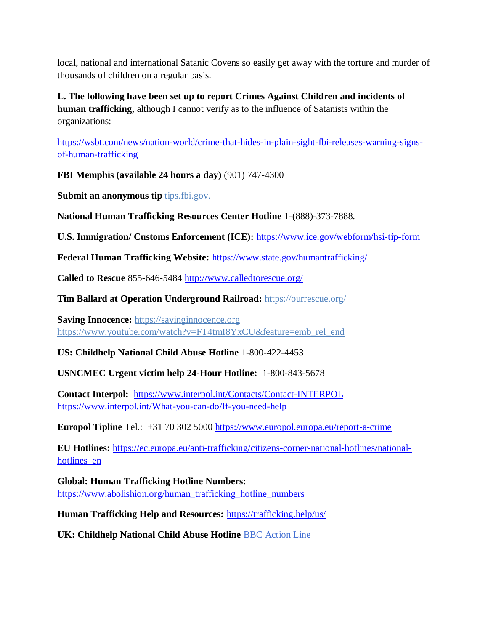local, national and international Satanic Covens so easily get away with the torture and murder of thousands of children on a regular basis.

**L. The following have been set up to report Crimes Against Children and incidents of human trafficking,** although I cannot verify as to the influence of Satanists within the organizations:

[https://wsbt.com/news/nation-world/crime-that-hides-in-plain-sight-fbi-releases-warning-signs](https://wsbt.com/news/nation-world/crime-that-hides-in-plain-sight-fbi-releases-warning-signs-of-human-trafficking?video=e56ba52a1b9d45ad8c8a033fd83fe480&jwsource=cl)[of-human-trafficking](https://wsbt.com/news/nation-world/crime-that-hides-in-plain-sight-fbi-releases-warning-signs-of-human-trafficking?video=e56ba52a1b9d45ad8c8a033fd83fe480&jwsource=cl)

**FBI Memphis (available 24 hours a day)** (901) 747-4300

**Submit an anonymous tip <b>tips.fbi.gov.** 

**National Human Trafficking Resources Center Hotline** 1-(888)-373-7888.

**U.S. Immigration/ Customs Enforcement (ICE):** <https://www.ice.gov/webform/hsi-tip-form>

**Federal Human Trafficking Website:** <https://www.state.gov/humantrafficking/>

**Called to Rescue** 855-646-5484<http://www.calledtorescue.org/>

**Tim Ballard at Operation Underground Railroad:** <https://ourrescue.org/>

**Saving Innocence:** [https://savinginnocence.org](https://savinginnocence.org/) [https://www.youtube.com/watch?v=FT4tmI8YxCU&feature=emb\\_rel\\_end](https://www.youtube.com/watch?v=FT4tmI8YxCU&feature=emb_rel_end)

**US: Childhelp National Child Abuse Hotline** 1-800-422-4453

**USNCMEC Urgent victim help 24-Hour Hotline:** 1-800-843-5678

**Contact Interpol:** <https://www.interpol.int/Contacts/Contact-INTERPOL> <https://www.interpol.int/What-you-can-do/If-you-need-help>

**Europol Tipline** Tel.: +31 70 302 5000<https://www.europol.europa.eu/report-a-crime>

**EU Hotlines:** [https://ec.europa.eu/anti-trafficking/citizens-corner-national-hotlines/national](https://ec.europa.eu/anti-trafficking/citizens-corner-national-hotlines/national-hotlines_en)hotlines en

**Global: Human Trafficking Hotline Numbers:** [https://www.abolishion.org/human\\_trafficking\\_hotline\\_numbers](https://www.abolishion.org/human_trafficking_hotline_numbers)

**Human Trafficking Help and Resources:** <https://trafficking.help/us/>

**UK: Childhelp National Child Abuse Hotline** [BBC Action Line](https://www.bbc.co.uk/actionline)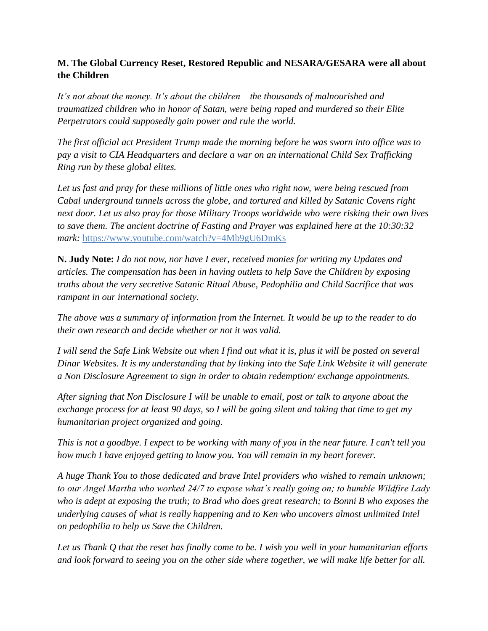## **M. The Global Currency Reset, Restored Republic and NESARA/GESARA were all about the Children**

*It's not about the money. It's about the children – the thousands of malnourished and traumatized children who in honor of Satan, were being raped and murdered so their Elite Perpetrators could supposedly gain power and rule the world.* 

*The first official act President Trump made the morning before he was sworn into office was to pay a visit to CIA Headquarters and declare a war on an international Child Sex Trafficking Ring run by these global elites.* 

*Let us fast and pray for these millions of little ones who right now, were being rescued from Cabal underground tunnels across the globe, and tortured and killed by Satanic Covens right next door. Let us also pray for those Military Troops worldwide who were risking their own lives to save them. The ancient doctrine of Fasting and Prayer was explained here at the 10:30:32 mark:* <https://www.youtube.com/watch?v=4Mb9gU6DmKs>

**N. Judy Note:** *I do not now, nor have I ever, received monies for writing my Updates and articles. The compensation has been in having outlets to help Save the Children by exposing truths about the very secretive Satanic Ritual Abuse, Pedophilia and Child Sacrifice that was rampant in our international society.*

*The above was a summary of information from the Internet. It would be up to the reader to do their own research and decide whether or not it was valid.*

*I will send the Safe Link Website out when I find out what it is, plus it will be posted on several Dinar Websites. It is my understanding that by linking into the Safe Link Website it will generate a Non Disclosure Agreement to sign in order to obtain redemption/ exchange appointments.*

*After signing that Non Disclosure I will be unable to email, post or talk to anyone about the exchange process for at least 90 days, so I will be going silent and taking that time to get my humanitarian project organized and going.*

*This is not a goodbye. I expect to be working with many of you in the near future. I can't tell you how much I have enjoyed getting to know you. You will remain in my heart forever.*

*A huge Thank You to those dedicated and brave Intel providers who wished to remain unknown; to our Angel Martha who worked 24/7 to expose what's really going on; to humble Wildfire Lady who is adept at exposing the truth; to Brad who does great research; to Bonni B who exposes the underlying causes of what is really happening and to Ken who uncovers almost unlimited Intel on pedophilia to help us Save the Children.*

*Let us Thank Q that the reset has finally come to be. I wish you well in your humanitarian efforts and look forward to seeing you on the other side where together, we will make life better for all.*